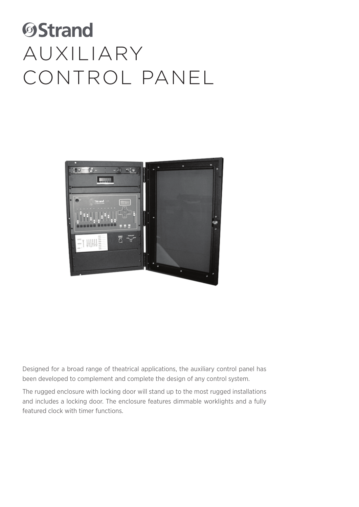## **OStrand** AUXILIARY CONTROL PANEL



Designed for a broad range of theatrical applications, the auxiliary control panel has been developed to complement and complete the design of any control system.

The rugged enclosure with locking door will stand up to the most rugged installations and includes a locking door. The enclosure features dimmable worklights and a fully featured clock with timer functions.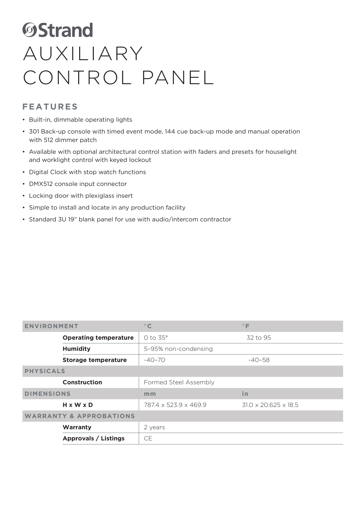## **ØStrand** AUXILIARY CONTROL PANEL

## **FEATURES**

- Built-in, dimmable operating lights
- 301 Back-up console with timed event mode, 144 cue back-up mode and manual operation with 512 dimmer patch
- Available with optional architectural control station with faders and presets for houselight and worklight control with keyed lockout
- Digital Clock with stop watch functions
- DMX512 console input connector
- Locking door with plexiglass insert
- Simple to install and locate in any production facility
- Standard 3U 19" blank panel for use with audio/intercom contractor